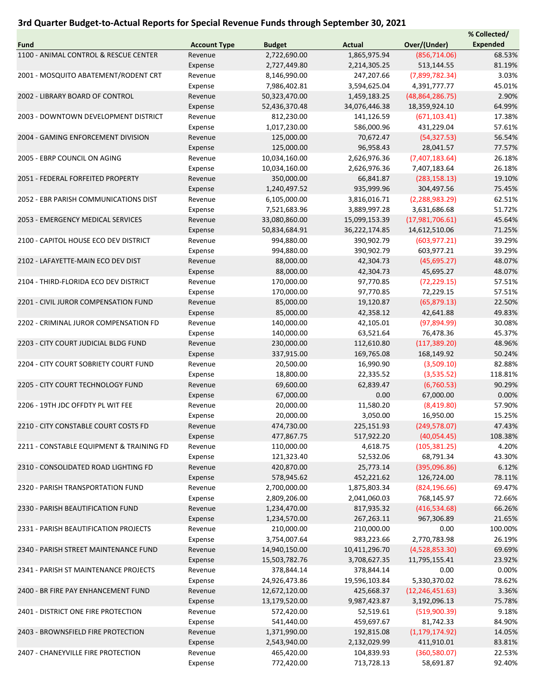## 3rd Quarter Budget-to-Actual Reports for Special Revenue Funds through September 30, 2021

|                                          |                     |               |               |                   | % Collected/    |
|------------------------------------------|---------------------|---------------|---------------|-------------------|-----------------|
| Fund                                     | <b>Account Type</b> | <b>Budget</b> | <b>Actual</b> | Over/(Under)      | <b>Expended</b> |
| 1100 - ANIMAL CONTROL & RESCUE CENTER    | Revenue             | 2,722,690.00  | 1,865,975.94  | (856, 714.06)     | 68.53%          |
|                                          | Expense             | 2,727,449.80  | 2,214,305.25  | 513,144.55        | 81.19%          |
| 2001 - MOSQUITO ABATEMENT/RODENT CRT     | Revenue             | 8,146,990.00  | 247,207.66    | (7,899,782.34)    | 3.03%           |
|                                          | Expense             | 7,986,402.81  | 3,594,625.04  | 4,391,777.77      | 45.01%          |
| 2002 - LIBRARY BOARD OF CONTROL          | Revenue             | 50,323,470.00 | 1,459,183.25  | (48, 864, 286.75) | 2.90%           |
|                                          | Expense             | 52,436,370.48 | 34,076,446.38 | 18,359,924.10     | 64.99%          |
| 2003 - DOWNTOWN DEVELOPMENT DISTRICT     | Revenue             | 812,230.00    | 141,126.59    | (671, 103.41)     | 17.38%          |
|                                          |                     |               |               |                   |                 |
|                                          | Expense             | 1,017,230.00  | 586,000.96    | 431,229.04        | 57.61%          |
| 2004 - GAMING ENFORCEMENT DIVISION       | Revenue             | 125,000.00    | 70,672.47     | (54, 327.53)      | 56.54%          |
|                                          | Expense             | 125,000.00    | 96,958.43     | 28,041.57         | 77.57%          |
| 2005 - EBRP COUNCIL ON AGING             | Revenue             | 10,034,160.00 | 2,626,976.36  | (7,407,183.64)    | 26.18%          |
|                                          | Expense             | 10,034,160.00 | 2,626,976.36  | 7,407,183.64      | 26.18%          |
| 2051 - FEDERAL FORFEITED PROPERTY        | Revenue             | 350,000.00    | 66,841.87     | (283, 158.13)     | 19.10%          |
|                                          | Expense             | 1,240,497.52  | 935,999.96    | 304,497.56        | 75.45%          |
| 2052 - EBR PARISH COMMUNICATIONS DIST    | Revenue             | 6,105,000.00  | 3,816,016.71  | (2, 288, 983.29)  | 62.51%          |
|                                          | Expense             | 7,521,683.96  | 3,889,997.28  | 3,631,686.68      | 51.72%          |
| 2053 - EMERGENCY MEDICAL SERVICES        | Revenue             | 33,080,860.00 | 15,099,153.39 | (17,981,706.61)   | 45.64%          |
|                                          | Expense             | 50,834,684.91 | 36,222,174.85 | 14,612,510.06     | 71.25%          |
| 2100 - CAPITOL HOUSE ECO DEV DISTRICT    | Revenue             | 994,880.00    | 390,902.79    | (603, 977.21)     | 39.29%          |
|                                          | Expense             | 994,880.00    | 390,902.79    | 603,977.21        | 39.29%          |
| 2102 - LAFAYETTE-MAIN ECO DEV DIST       | Revenue             | 88,000.00     | 42,304.73     | (45,695.27)       | 48.07%          |
|                                          | Expense             | 88,000.00     | 42,304.73     | 45,695.27         | 48.07%          |
| 2104 - THIRD-FLORIDA ECO DEV DISTRICT    | Revenue             | 170,000.00    | 97,770.85     | (72, 229.15)      | 57.51%          |
|                                          | Expense             | 170,000.00    | 97,770.85     | 72,229.15         | 57.51%          |
| 2201 - CIVIL JUROR COMPENSATION FUND     |                     |               |               |                   |                 |
|                                          | Revenue             | 85,000.00     | 19,120.87     | (65, 879.13)      | 22.50%          |
|                                          | Expense             | 85,000.00     | 42,358.12     | 42,641.88         | 49.83%          |
| 2202 - CRIMINAL JUROR COMPENSATION FD    | Revenue             | 140,000.00    | 42,105.01     | (97,894.99)       | 30.08%          |
|                                          | Expense             | 140,000.00    | 63,521.64     | 76,478.36         | 45.37%          |
| 2203 - CITY COURT JUDICIAL BLDG FUND     | Revenue             | 230,000.00    | 112,610.80    | (117, 389.20)     | 48.96%          |
|                                          | Expense             | 337,915.00    | 169,765.08    | 168,149.92        | 50.24%          |
| 2204 - CITY COURT SOBRIETY COURT FUND    | Revenue             | 20,500.00     | 16,990.90     | (3,509.10)        | 82.88%          |
|                                          | Expense             | 18,800.00     | 22,335.52     | (3,535.52)        | 118.81%         |
| 2205 - CITY COURT TECHNOLOGY FUND        | Revenue             | 69,600.00     | 62,839.47     | (6,760.53)        | 90.29%          |
|                                          | Expense             | 67,000.00     | 0.00          | 67,000.00         | 0.00%           |
| 2206 - 19TH JDC OFFDTY PL WIT FEE        | Revenue             | 20,000.00     | 11,580.20     | (8,419.80)        | 57.90%          |
|                                          | Expense             | 20,000.00     | 3,050.00      | 16,950.00         | 15.25%          |
| 2210 - CITY CONSTABLE COURT COSTS FD     | Revenue             | 474,730.00    | 225,151.93    | (249, 578.07)     | 47.43%          |
|                                          | Expense             | 477,867.75    | 517,922.20    | (40,054.45)       | 108.38%         |
| 2211 - CONSTABLE EQUIPMENT & TRAINING FD | Revenue             | 110,000.00    | 4,618.75      | (105, 381.25)     | 4.20%           |
|                                          | Expense             | 121,323.40    | 52,532.06     | 68,791.34         | 43.30%          |
| 2310 - CONSOLIDATED ROAD LIGHTING FD     | Revenue             | 420,870.00    | 25,773.14     | (395,096.86)      | 6.12%           |
|                                          | Expense             | 578,945.62    | 452,221.62    | 126,724.00        | 78.11%          |
| 2320 - PARISH TRANSPORTATION FUND        | Revenue             | 2,700,000.00  | 1,875,803.34  | (824, 196.66)     | 69.47%          |
|                                          | Expense             | 2,809,206.00  | 2,041,060.03  | 768,145.97        | 72.66%          |
|                                          | Revenue             |               |               |                   | 66.26%          |
| 2330 - PARISH BEAUTIFICATION FUND        |                     | 1,234,470.00  | 817,935.32    | (416,534.68)      |                 |
|                                          | Expense             | 1,234,570.00  | 267,263.11    | 967,306.89        | 21.65%          |
| 2331 - PARISH BEAUTIFICATION PROJECTS    | Revenue             | 210,000.00    | 210,000.00    | 0.00              | 100.00%         |
|                                          | Expense             | 3,754,007.64  | 983,223.66    | 2,770,783.98      | 26.19%          |
| 2340 - PARISH STREET MAINTENANCE FUND    | Revenue             | 14,940,150.00 | 10,411,296.70 | (4,528,853.30)    | 69.69%          |
|                                          | Expense             | 15,503,782.76 | 3,708,627.35  | 11,795,155.41     | 23.92%          |
| 2341 - PARISH ST MAINTENANCE PROJECTS    | Revenue             | 378,844.14    | 378,844.14    | 0.00              | 0.00%           |
|                                          | Expense             | 24,926,473.86 | 19,596,103.84 | 5,330,370.02      | 78.62%          |
| 2400 - BR FIRE PAY ENHANCEMENT FUND      | Revenue             | 12,672,120.00 | 425,668.37    | (12, 246, 451.63) | 3.36%           |
|                                          | Expense             | 13,179,520.00 | 9,987,423.87  | 3,192,096.13      | 75.78%          |
| 2401 - DISTRICT ONE FIRE PROTECTION      | Revenue             | 572,420.00    | 52,519.61     | (519,900.39)      | 9.18%           |
|                                          | Expense             | 541,440.00    | 459,697.67    | 81,742.33         | 84.90%          |
| 2403 - BROWNSFIELD FIRE PROTECTION       | Revenue             | 1,371,990.00  | 192,815.08    | (1, 179, 174.92)  | 14.05%          |
|                                          | Expense             | 2,543,940.00  | 2,132,029.99  | 411,910.01        | 83.81%          |
| 2407 - CHANEYVILLE FIRE PROTECTION       | Revenue             | 465,420.00    | 104,839.93    | (360,580.07)      | 22.53%          |
|                                          | Expense             | 772,420.00    | 713,728.13    | 58,691.87         | 92.40%          |